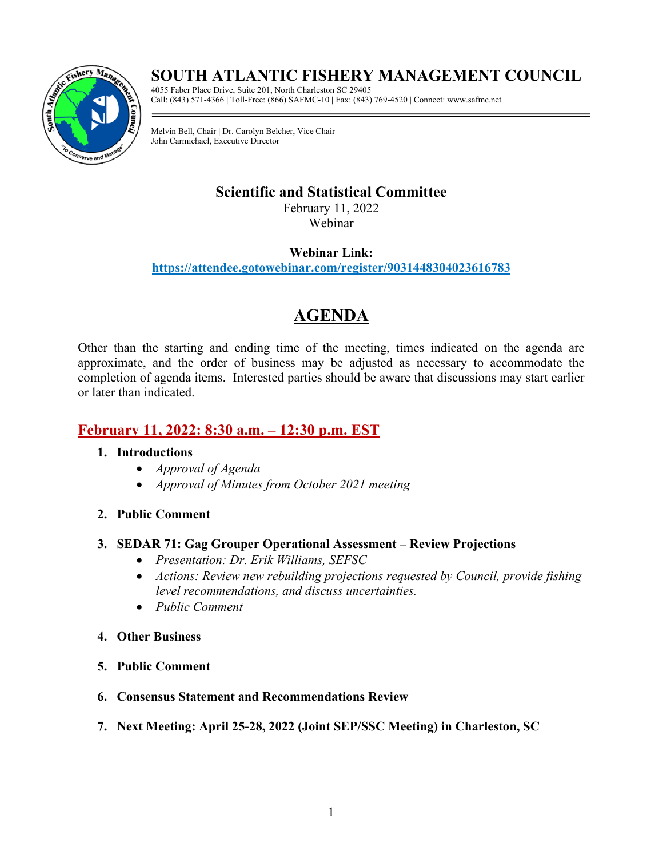## **SOUTH ATLANTIC FISHERY MANAGEMENT COUNCIL**



4055 Faber Place Drive, Suite 201, North Charleston SC 29405 Call: (843) 571-4366 **|** Toll-Free: (866) SAFMC-10 **|** Fax: (843) 769-4520 **|** Connect: www.safmc.net

Melvin Bell, Chair **|** Dr. Carolyn Belcher, Vice Chair John Carmichael, Executive Director

## **Scientific and Statistical Committee**

February 11, 2022 Webinar

### **Webinar Link:**

**<https://attendee.gotowebinar.com/register/9031448304023616783>**

# **AGENDA**

Other than the starting and ending time of the meeting, times indicated on the agenda are approximate, and the order of business may be adjusted as necessary to accommodate the completion of agenda items. Interested parties should be aware that discussions may start earlier or later than indicated.

## **February 11, 2022: 8:30 a.m. – 12:30 p.m. EST**

### **1. Introductions**

- *Approval of Agenda*
- *Approval of Minutes from October 2021 meeting*
- **2. Public Comment**

### **3. SEDAR 71: Gag Grouper Operational Assessment – Review Projections**

- *Presentation: Dr. Erik Williams, SEFSC*
- *Actions: Review new rebuilding projections requested by Council, provide fishing level recommendations, and discuss uncertainties.*
- *Public Comment*
- **4. Other Business**
- **5. Public Comment**
- **6. Consensus Statement and Recommendations Review**
- **7. Next Meeting: April 25-28, 2022 (Joint SEP/SSC Meeting) in Charleston, SC**